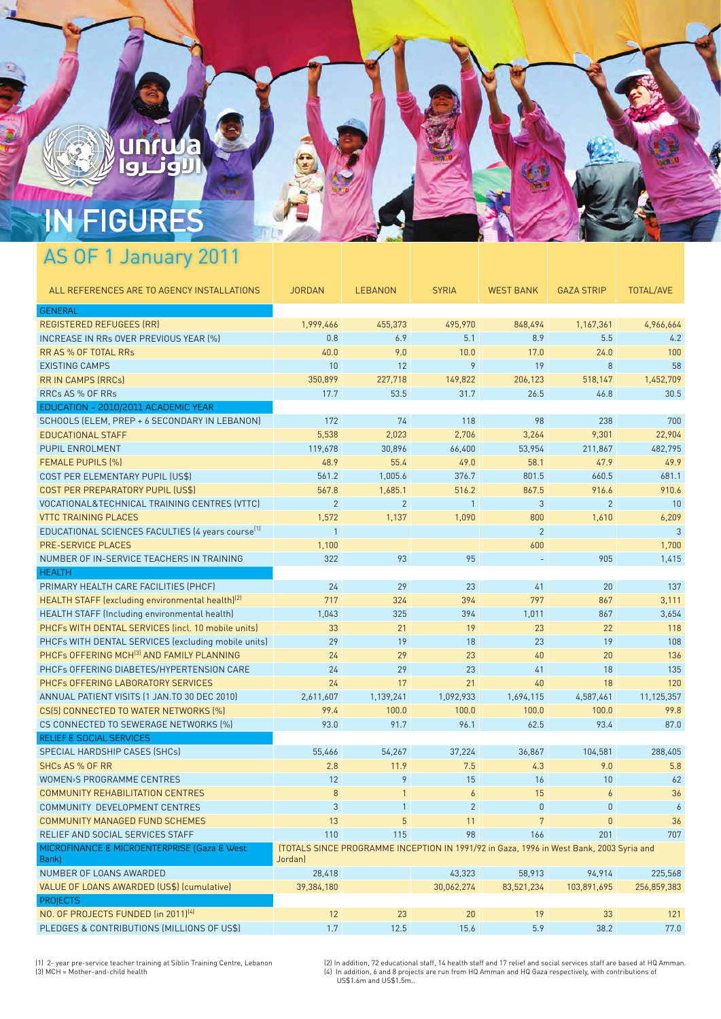# **IN FIGURES**

U

**artuda** 

وثناوا

## AS OF 1 January 2011

| ALL REFERENCES ARE TO AGENCY INSTALLATIONS                    | <b>JORDAN</b>                                                                                      | <b>LEBANON</b> | <b>SYRIA</b>    | <b>WEST BANK</b> | <b>GAZA STRIP</b> | <b>TOTAL/AVE</b> |  |  |
|---------------------------------------------------------------|----------------------------------------------------------------------------------------------------|----------------|-----------------|------------------|-------------------|------------------|--|--|
| <b>GENERAL</b>                                                |                                                                                                    |                |                 |                  |                   |                  |  |  |
| <b>REGISTERED REFUGEES (RR)</b>                               | 1,999,466                                                                                          | 455,373        | 495,970         | 848,494          | 1,167,361         | 4,966,664        |  |  |
| INCREASE IN RRs OVER PREVIOUS YEAR (%)                        | 0.8                                                                                                | 6.9            | 5.1             | 8.9              | 5.5               | 4.2              |  |  |
| RR AS % OF TOTAL RRs                                          | 40.0                                                                                               | 9.0            | 10.0            | 17.0             | 24.0              | 100              |  |  |
| <b>EXISTING CAMPS</b>                                         | 10                                                                                                 | 12             | 9               | 19               | 8                 | 58               |  |  |
| <b>RRIN CAMPS (RRCs)</b>                                      | 350,899                                                                                            | 227,718        | 149,822         | 206,123          | 518,147           | 1,452,709        |  |  |
| <b>RRCs AS % OF RRs</b>                                       | 17.7                                                                                               | 53.5           | 31.7            | 26.5             | 46.8              | 30.5             |  |  |
| EDUCATION - 2010/2011 ACADEMIC YEAR                           |                                                                                                    |                |                 |                  |                   |                  |  |  |
| SCHOOLS (ELEM, PREP + 6 SECONDARY IN LEBANON)                 | 172                                                                                                | 74             | 118             | 98               | 238               | 700              |  |  |
| <b>EDUCATIONAL STAFF</b>                                      | 5,538                                                                                              | 2,023          | 2,706           | 3,264            | 9,301             | 22,904           |  |  |
| PUPIL ENROLMENT                                               | 119,678                                                                                            | 30,896         | 66,400          | 53,954           | 211,867           | 482,795          |  |  |
| <b>FEMALE PUPILS (%)</b>                                      | 48.9                                                                                               | 55.4           | 49.0            | 58.1             | 47.9              | 49.9             |  |  |
| COST PER ELEMENTARY PUPIL (US\$)                              | 561.2                                                                                              | 1,005.6        | 376.7           | 801.5            | 660.5             | 681.1            |  |  |
| COST PER PREPARATORY PUPIL (US\$)                             | 567.8                                                                                              | 1,685.1        | 516.2           | 867.5            | 916.6             | 910.6            |  |  |
| VOCATIONAL&TECHNICAL TRAINING CENTRES (VTTC)                  | $\overline{2}$                                                                                     | $\overline{2}$ | $\mathbf{1}$    | 3                | $\overline{2}$    | 10               |  |  |
| <b>VTTC TRAINING PLACES</b>                                   | 1,572                                                                                              | 1,137          | 1,090           | 800              | 1,610             | 6,209            |  |  |
| EDUCATIONAL SCIENCES FACULTIES (4 years course <sup>[1]</sup> | $\mathbf{1}$                                                                                       |                |                 | $\overline{2}$   |                   | 3                |  |  |
| <b>PRE-SERVICE PLACES</b>                                     | 1,100                                                                                              |                |                 | 600              |                   | 1,700            |  |  |
| NUMBER OF IN-SERVICE TEACHERS IN TRAINING                     | 322                                                                                                | 93             | 95              |                  | 905               | 1,415            |  |  |
| <b>HEALTH</b>                                                 |                                                                                                    |                |                 |                  |                   |                  |  |  |
| PRIMARY HEALTH CARE FACILITIES (PHCF)                         | 24                                                                                                 | 29             | 23              | 41               | 20                | 137              |  |  |
| HEALTH STAFF (excluding environmental health) <sup>(2)</sup>  | 717                                                                                                | 324            | 394             | 797              | 867               | 3,111            |  |  |
| HEALTH STAFF (Including environmental health)                 | 1,043                                                                                              | 325            | 394             | 1,011            | 867               | 3,654            |  |  |
| PHCFs WITH DENTAL SERVICES (incl. 10 mobile units)            | 33                                                                                                 | 21             | 19              | 23               | 22                | 118              |  |  |
| PHCFs WITH DENTAL SERVICES (excluding mobile units)           | 29                                                                                                 | 19             | 18              | 23               | 19                | 108              |  |  |
| PHCFs OFFERING MCH <sup>(3)</sup> AND FAMILY PLANNING         | 24                                                                                                 | 29             | 23              | 40               | 20                | 136              |  |  |
| PHCFs OFFERING DIABETES/HYPERTENSION CARE                     | 24                                                                                                 | 29             | 23              | 41               | 18                | 135              |  |  |
| PHCFs OFFERING LABORATORY SERVICES                            | 24                                                                                                 | 17             | 21              | 40               | 18                | 120              |  |  |
| ANNUAL PATIENT VISITS (1 JAN.TO 30 DEC 2010)                  | 2,611,607                                                                                          | 1,139,241      | 1,092,933       | 1,694,115        | 4,587,461         | 11,125,357       |  |  |
| CS(5) CONNECTED TO WATER NETWORKS (%)                         | 99.4                                                                                               | 100.0          | 100.0           | 100.0            | 100.0             | 99.8             |  |  |
| CS CONNECTED TO SEWERAGE NETWORKS [%]                         | 93.0                                                                                               | 91.7           | 96.1            | 62.5             | 93.4              | 87.0             |  |  |
| <b>RELIEF &amp; SOCIAL SERVICES</b>                           |                                                                                                    |                |                 |                  |                   |                  |  |  |
| SPECIAL HARDSHIP CASES (SHCs)                                 | 55,466                                                                                             | 54,267         | 37,224          | 36,867           | 104,581           | 288,405          |  |  |
| <b>SHCs AS % OF RR</b>                                        | 2.8                                                                                                | 11.9           | 7.5             | 4.3              | 9.0               | 5.8              |  |  |
| <b>WOMEN&gt;S PROGRAMME CENTRES</b>                           | 12                                                                                                 | 9              | 15              | 16               | 10                | 62               |  |  |
| <b>COMMUNITY REHABILITATION CENTRES</b>                       | $\,8\,$                                                                                            | $\mathbf{1}$   | $\overline{6}$  | 15               | 6                 | 36               |  |  |
| COMMUNITY DEVELOPMENT CENTRES                                 | 3                                                                                                  | $\mathbf{1}$   | $\overline{2}$  | $\overline{0}$   | $\mathbf{0}$      | $\boldsymbol{6}$ |  |  |
| COMMUNITY MANAGED FUND SCHEMES                                | 13                                                                                                 | 5              | 11              |                  | $\overline{0}$    | 36               |  |  |
| RELIEF AND SOCIAL SERVICES STAFF                              | 110                                                                                                | 115            | 98              | 166              | 201               | 707              |  |  |
| MICROFINANCE & MICROENTERPRISE (Gaza & West<br>Bank)          | [TOTALS SINCE PROGRAMME INCEPTION IN 1991/92 in Gaza, 1996 in West Bank, 2003 Syria and<br>Jordan) |                |                 |                  |                   |                  |  |  |
| NUMBER OF LOANS AWARDED                                       | 28,418                                                                                             |                | 43,323          | 58,913           | 94,914            | 225,568          |  |  |
| VALUE OF LOANS AWARDED (US\$) (cumulative)                    | 39,384,180                                                                                         |                | 30,062,274      | 83,521,234       | 103,891,695       | 256,859,383      |  |  |
| <b>PROJECTS</b>                                               |                                                                                                    |                |                 |                  |                   |                  |  |  |
| NO. OF PROJECTS FUNDED (in 2011) <sup>[4]</sup>               | 12                                                                                                 | 23             | 20              | 19               | 33                | 121              |  |  |
| PLEDGES & CONTRIBUTIONS (MILLIONS OF LISS)                    | 17                                                                                                 | 125            | 15 <sub>6</sub> | 59               | 38.2              | 77 <sub>0</sub>  |  |  |

(1) 2- year pre-service teacher training at Siblin Training Centre, Lebanon<br>(3) MCH = Mother-and-child health

(2) In addition, 72 educational staff, 14 health staff and 17 relief and social services staff are based at HQ Amman.<br>(4) In addition, 6 and 8 projects are run from HQ Amman and HQ Gaza respectively, with contributions of